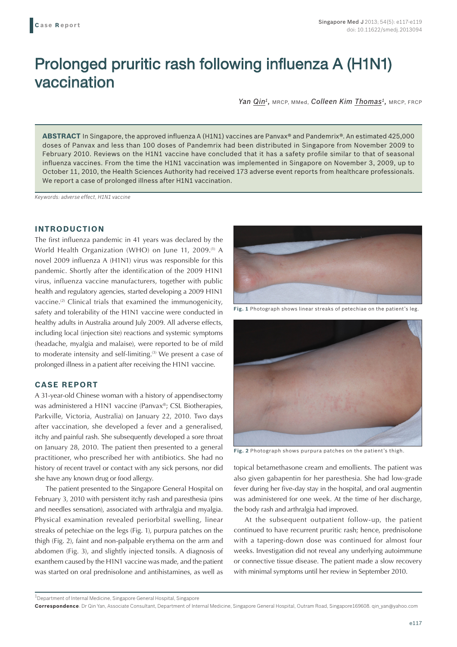# Prolonged pruritic rash following influenza A (H1N1) vaccination

Yan Qin<sup>1</sup>, MRCP, MMed, *Colleen Kim Thomas<sup>1</sup>*, MRCP, FRCP

**ABSTRACT** In Singapore, the approved influenza A (H1N1) vaccines are Panvax® and Pandemrix®. An estimated 425,000 doses of Panvax and less than 100 doses of Pandemrix had been distributed in Singapore from November 2009 to February 2010. Reviews on the H1N1 vaccine have concluded that it has a safety profile similar to that of seasonal influenza vaccines. From the time the H1N1 vaccination was implemented in Singapore on November 3, 2009, up to October 11, 2010, the Health Sciences Authority had received 173 adverse event reports from healthcare professionals. We report a case of prolonged illness after H1N1 vaccination.

*Keywords: adverse effect, H1N1 vaccine*

# **INTRODUCTION**

The first influenza pandemic in 41 years was declared by the World Health Organization (WHO) on June 11, 2009.<sup>(1)</sup> A novel 2009 influenza A (H1N1) virus was responsible for this pandemic. Shortly after the identification of the 2009 H1N1 virus, influenza vaccine manufacturers, together with public health and regulatory agencies, started developing a 2009 H1N1 vaccine.<sup>(2)</sup> Clinical trials that examined the immunogenicity, safety and tolerability of the H1N1 vaccine were conducted in healthy adults in Australia around July 2009. All adverse effects, including local (injection site) reactions and systemic symptoms (headache, myalgia and malaise), were reported to be of mild to moderate intensity and self-limiting.(3) We present a case of prolonged illness in a patient after receiving the H1N1 vaccine.

## **CASE REPORT**

A 31-year-old Chinese woman with a history of appendisectomy was administered a H1N1 vaccine (Panvax®; CSL Biotherapies, Parkville, Victoria, Australia) on January 22, 2010. Two days after vaccination, she developed a fever and a generalised, itchy and painful rash. She subsequently developed a sore throat on January 28, 2010. The patient then presented to a general practitioner, who prescribed her with antibiotics. She had no history of recent travel or contact with any sick persons, nor did she have any known drug or food allergy.

The patient presented to the Singapore General Hospital on February 3, 2010 with persistent itchy rash and paresthesia (pins and needles sensation), associated with arthralgia and myalgia. Physical examination revealed periorbital swelling, linear streaks of petechiae on the legs (Fig. 1), purpura patches on the thigh (Fig. 2), faint and non-palpable erythema on the arm and abdomen (Fig. 3), and slightly injected tonsils. A diagnosis of exanthem caused by the H1N1 vaccine was made, and the patient was started on oral prednisolone and antihistamines, as well as



**Fig. 1** Photograph shows linear streaks of petechiae on the patient's leg.



**Fig. 2** Photograph shows purpura patches on the patient's thigh.

topical betamethasone cream and emollients. The patient was also given gabapentin for her paresthesia. She had low-grade fever during her five-day stay in the hospital, and oral augmentin was administered for one week. At the time of her discharge, the body rash and arthralgia had improved.

At the subsequent outpatient follow-up, the patient continued to have recurrent pruritic rash; hence, prednisolone with a tapering-down dose was continued for almost four weeks. Investigation did not reveal any underlying autoimmune or connective tissue disease. The patient made a slow recovery with minimal symptoms until her review in September 2010.

<sup>1</sup>Department of Internal Medicine, Singapore General Hospital, Singapore

**Correspondence**: Dr Qin Yan, Associate Consultant, Department of Internal Medicine, Singapore General Hospital, Outram Road, Singapore169608. qin\_yan@yahoo.com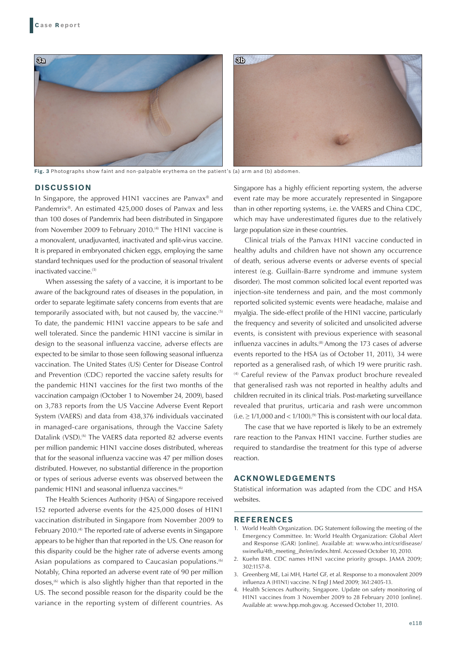

**Fig. 3** Photographs show faint and non-palpable erythema on the patient's (a) arm and (b) abdomen.

### **DISCUSSION**

In Singapore, the approved H1N1 vaccines are Panvax® and Pandemrix®. An estimated 425,000 doses of Panvax and less than 100 doses of Pandemrix had been distributed in Singapore from November 2009 to February 2010.<sup>(4)</sup> The H1N1 vaccine is a monovalent, unadjuvanted, inactivated and split-virus vaccine. It is prepared in embryonated chicken eggs, employing the same standard techniques used for the production of seasonal trivalent inactivated vaccine.<sup>(3)</sup>

When assessing the safety of a vaccine, it is important to be aware of the background rates of diseases in the population, in order to separate legitimate safety concerns from events that are temporarily associated with, but not caused by, the vaccine.<sup>(5)</sup> To date, the pandemic H1N1 vaccine appears to be safe and well tolerated. Since the pandemic H1N1 vaccine is similar in design to the seasonal influenza vaccine, adverse effects are expected to be similar to those seen following seasonal influenza vaccination. The United States (US) Center for Disease Control and Prevention (CDC) reported the vaccine safety results for the pandemic H1N1 vaccines for the first two months of the vaccination campaign (October 1 to November 24, 2009), based on 3,783 reports from the US Vaccine Adverse Event Report System (VAERS) and data from 438,376 individuals vaccinated in managed-care organisations, through the Vaccine Safety Datalink (VSD).<sup>(6)</sup> The VAERS data reported 82 adverse events per million pandemic H1N1 vaccine doses distributed, whereas that for the seasonal influenza vaccine was 47 per million doses distributed. However, no substantial difference in the proportion or types of serious adverse events was observed between the pandemic H1N1 and seasonal influenza vaccines.<sup>(6)</sup>

The Health Sciences Authority (HSA) of Singapore received 152 reported adverse events for the 425,000 doses of H1N1 vaccination distributed in Singapore from November 2009 to February 2010.<sup>(4)</sup> The reported rate of adverse events in Singapore appears to be higher than that reported in the US. One reason for this disparity could be the higher rate of adverse events among Asian populations as compared to Caucasian populations.<sup>(6)</sup> Notably, China reported an adverse event rate of 90 per million doses,<sup>(6)</sup> which is also slightly higher than that reported in the US. The second possible reason for the disparity could be the variance in the reporting system of different countries. As Singapore has a highly efficient reporting system, the adverse event rate may be more accurately represented in Singapore than in other reporting systems, i.e. the VAERS and China CDC, which may have underestimated figures due to the relatively large population size in these countries.

Clinical trials of the Panvax H1N1 vaccine conducted in healthy adults and children have not shown any occurrence of death, serious adverse events or adverse events of special interest (e.g. Guillain-Barre syndrome and immune system disorder). The most common solicited local event reported was injection-site tenderness and pain, and the most commonly reported solicited systemic events were headache, malaise and myalgia. The side-effect profile of the H1N1 vaccine, particularly the frequency and severity of solicited and unsolicited adverse events, is consistent with previous experience with seasonal influenza vaccines in adults.<sup>(8)</sup> Among the 173 cases of adverse events reported to the HSA (as of October 11, 2011), 34 were reported as a generalised rash, of which 19 were pruritic rash. (4) Careful review of the Panvax product brochure revealed that generalised rash was not reported in healthy adults and children recruited in its clinical trials. Post-marketing surveillance revealed that pruritus, urticaria and rash were uncommon (i.e.  $\geq$  1/1,000 and < 1/100).<sup>(9)</sup> This is consistent with our local data.

The case that we have reported is likely to be an extremely rare reaction to the Panvax H1N1 vaccine. Further studies are required to standardise the treatment for this type of adverse reaction.

### **ACKNOWLEDGEMENTS**

Statistical information was adapted from the CDC and HSA websites.

#### **REFERENCES**

- 1. World Health Organization. DG Statement following the meeting of the Emergency Committee. In: World Health Organization: Global Alert and Response (GAR) [online]. Available at: www.who.int/csr/disease/ swineflu/4th\_meeting\_ihr/en/index.html. Accessed October 10, 2010.
- 2. Kuehn BM. CDC names H1N1 vaccine priority groups. JAMA 2009; 302:1157-8.
- 3. Greenberg ME, Lai MH, Hartel GF, et al. Response to a monovalent 2009 influenza A (H1N1) vaccine. N Engl J Med 2009; 361:2405-13.
- 4. Health Sciences Authority, Singapore. Update on safety monitoring of H1N1 vaccines from 3 November 2009 to 28 February 2010 [online]. Available at: www.hpp.moh.gov.sg. Accessed October 11, 2010.